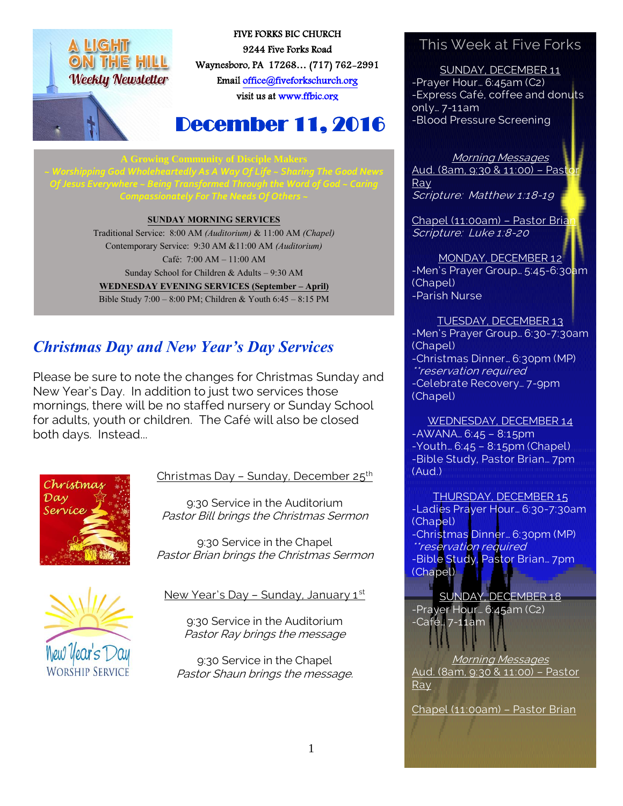



FIVE FORKS BIC CHURCH 9244 Five Forks Road Waynesboro, PA 17268… (717) 762-2991 Emai[l office@fiveforkschurch.org](mailto:office@fiveforkschurch.org)  visit us a[t www.ffbic.org](http://www.ffbic.org/) 

# December 11, 2016

*~ Worshipping God Wholeheartedly As A Way Of Life ~ Sharing The Good News Of Jesus Everywhere ~ Being Transformed Through the Word of God ~ Caring Compassionately For The Needs Of Others ~*

#### **SUNDAY MORNING SERVICES**

Traditional Service: 8:00 AM *(Auditorium)* & 11:00 AM *(Chapel)* Contemporary Service: 9:30 AM &11:00 AM *(Auditorium)* Café: 7:00 AM – 11:00 AM Sunday School for Children & Adults – 9:30 AM **WEDNESDAY EVENING SERVICES (September – April)** Bible Study 7:00 – 8:00 PM; Children & Youth 6:45 – 8:15 PM

## *Christmas Day and New Year's Day Services*

Please be sure to note the changes for Christmas Sunday and New Year's Day. In addition to just two services those mornings, there will be no staffed nursery or Sunday School for adults, youth or children. The Café will also be closed both days. Instead...



#### Christmas Day - Sunday, December 25<sup>th</sup>

9:30 Service in the Auditorium Pastor Bill brings the Christmas Sermon

9:30 Service in the Chapel Pastor Brian brings the Christmas Sermon



#### New Year's Day - Sunday, January 1st

9:30 Service in the Auditorium Pastor Ray brings the message

9:30 Service in the Chapel Pastor Shaun brings the message.

### This Week at Five Forks

SUNDAY, DECEMBER 11 -Prayer Hour… 6:45am (C2) -Express Café, coffee and donuts only… 7-11am -Blood Pressure Screening

#### Morning Messages

Aud. (8am, 9:30 & 11:00) - Pasto Ray Scripture: Matthew 1:18-19

Chapel (11:00am) - Pastor Brian Scripture: Luke 1:8-20

MONDAY, DECEMBER 12 -Men's Prayer Group… 5:45-6:30am (Chapel) -Parish Nurse

TUESDAY, DECEMBER 13 -Men's Prayer Group… 6:30-7:30am (Chapel) -Christmas Dinner… 6:30pm (MP) \*reservation required -Celebrate Recovery… 7-9pm (Chapel)

WEDNESDAY, DECEMBER 14 -AWANA… 6:45 – 8:15pm -Youth… 6:45 – 8:15pm (Chapel) -Bible Study, Pastor Brian… 7pm (Aud.)

THURSDAY, DECEMBER 15 -Ladies Prayer Hour… 6:30-7:30am (Chapel) -Christmas Dinner… 6:30pm (MP) \*\*reservation required -Bible Study, Pastor Brian… 7pm (Chapel)

SUNDAY, DECEMBER 18 -Prayer Hour… 6:45am (C2) -Café… 7-11am

Morning Messages Aud. (8am, 9:30 & 11:00) – Pastor Ray

Chapel (11:00am) – Pastor Brian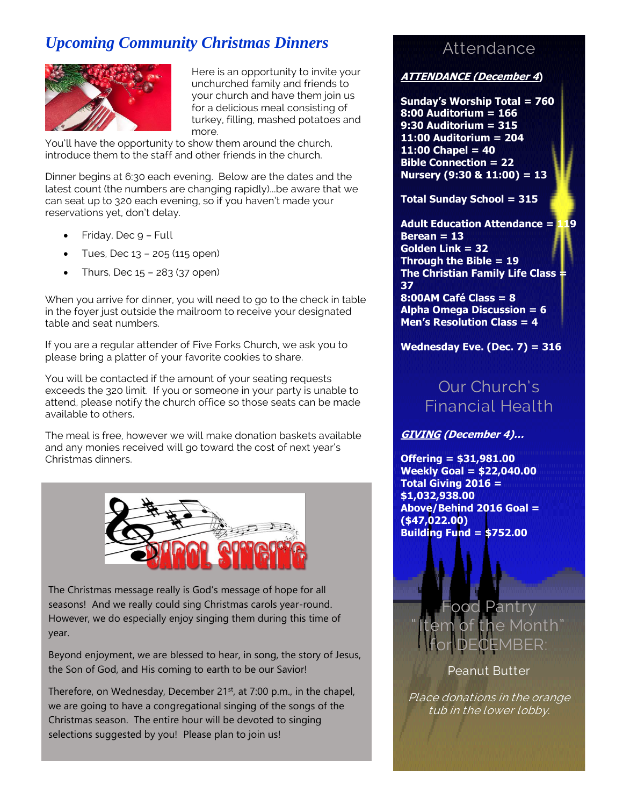## *Upcoming Community Christmas Dinners*



Here is an opportunity to invite your unchurched family and friends to your church and have them join us for a delicious meal consisting of turkey, filling, mashed potatoes and more.

You'll have the opportunity to show them around the church, introduce them to the staff and other friends in the church.

Dinner begins at 6:30 each evening. Below are the dates and the latest count (the numbers are changing rapidly)...be aware that we can seat up to 320 each evening, so if you haven't made your reservations yet, don't delay.

- Friday, Dec 9 Full
- $\bullet$  Tues, Dec 13 205 (115 open)
- $\bullet$  Thurs, Dec  $15 283$  (37 open)

When you arrive for dinner, you will need to go to the check in table in the foyer just outside the mailroom to receive your designated table and seat numbers.

If you are a regular attender of Five Forks Church, we ask you to please bring a platter of your favorite cookies to share.

You will be contacted if the amount of your seating requests exceeds the 320 limit. If you or someone in your party is unable to attend, please notify the church office so those seats can be made available to others.

The meal is free, however we will make donation baskets available and any monies received will go toward the cost of next year's Christmas dinners.



The Christmas message really is God's message of hope for all seasons! And we really could sing Christmas carols year-round. However, we do especially enjoy singing them during this time of year.

Beyond enjoyment, we are blessed to hear, in song, the story of Jesus, the Son of God, and His coming to earth to be our Savior!

Therefore, on Wednesday, December 21<sup>st</sup>, at 7:00 p.m., in the chapel, we are going to have a congregational singing of the songs of the Christmas season. The entire hour will be devoted to singing selections suggested by you! Please plan to join us!

## **Attendance**

#### **ATTENDANCE (December 4)**

**Sunday's Worship Total = 760 8:00 Auditorium = 166 9:30 Auditorium = 315 11:00 Auditorium = 204 11:00 Chapel = 40 Bible Connection = 22 Nursery (9:30 & 11:00) = 13**

**Total Sunday School = 315**

**Adult Education Attendance = 119 Berean = 13 Golden Link = 32 Through the Bible = 19 The Christian Family Life Class = 37 8:00AM Café Class = 8**

**Alpha Omega Discussion = 6 Men's Resolution Class = 4**

**Wednesday Eve. (Dec. 7) = 316**

## Our Church's Financial Health

**GIVING (December 4)…**

**Offering = \$31,981.00 Weekly Goal = \$22,040.00 Total Giving 2016 = \$1,032,938.00 Above/Behind 2016 Goal = (\$47,022.00) Building Fund = \$752.00**

> Food Pantry 1e Month" for DECEMBER:

> > Peanut Butter

Place donations in the orange tub in the lower lobby.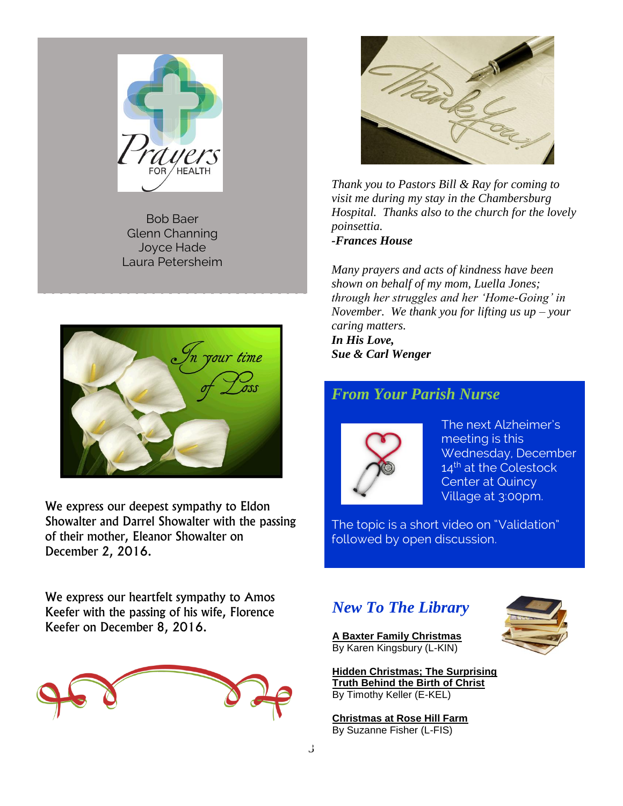

Bob Baer Glenn Channing Joyce Hade Laura Petersheim



We express our deepest sympathy to Eldon Showalter and Darrel Showalter with the passing of their mother, Eleanor Showalter on December 2, 2016.



*Thank you to Pastors Bill & Ray for coming to visit me during my stay in the Chambersburg Hospital. Thanks also to the church for the lovely poinsettia. -Frances House*

*Many prayers and acts of kindness have been shown on behalf of my mom, Luella Jones; through her struggles and her 'Home-Going' in November. We thank you for lifting us up – your caring matters.*

*In His Love, Sue & Carl Wenger*

### *From Your Parish Nurse*



The next Alzheimer's meeting is this Wednesday, December 14<sup>th</sup> at the Colestock Center at Quincy Village at 3:00pm.

The topic is a short video on "Validation" followed by open discussion.

We express our heartfelt sympathy to Amos Keefer with the passing of his wife, Florence Keefer on December 8, 2016.



## *New To The Library*

**A Baxter Family Christmas** By Karen Kingsbury (L-KIN)



**Hidden Christmas; The Surprising Truth Behind the Birth of Christ**  By Timothy Keller (E-KEL)

**Christmas at Rose Hill Farm** By Suzanne Fisher (L-FIS)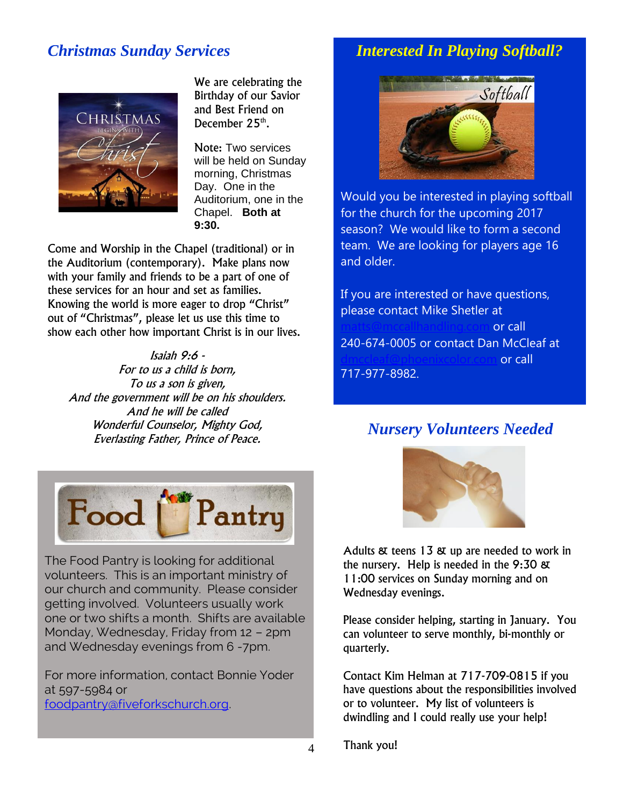## *Christmas Sunday Services*



We are celebrating the Birthday of our Savior and Best Friend on December 25<sup>th</sup>.

Note: Two services will be held on Sunday morning, Christmas Day. One in the Auditorium, one in the Chapel. **Both at 9:30.**

Come and Worship in the Chapel (traditional) or in the Auditorium (contemporary). Make plans now with your family and friends to be a part of one of these services for an hour and set as families. Knowing the world is more eager to drop "Christ" out of "Christmas", please let us use this time to show each other how important Christ is in our lives.

Isaiah 9:6 - For to us a child is born, To us a son is given, And the government will be on his shoulders. And he will be called Wonderful Counselor, Mighty God, Everlasting Father, Prince of Peace.



The Food Pantry is looking for additional volunteers. This is an important ministry of our church and community. Please consider getting involved. Volunteers usually work one or two shifts a month. Shifts are available Monday, Wednesday, Friday from 12 – 2pm and Wednesday evenings from 6 -7pm.

For more information, contact Bonnie Yoder at 597-5984 or [foodpantry@fiveforkschurch.org.](mailto:foodpantry@fiveforkschurch.org)

### *Interested In Playing Softball?*



Would you be interested in playing softball for the church for the upcoming 2017 season? We would like to form a second team. We are looking for players age 16 and older.

If you are interested or have questions, please contact Mike Shetler at or call 240-674-0005 or contact Dan McCleaf at or call 717-977-8982.

## *Nursery Volunteers Needed*



Adults & teens 13 & up are needed to work in the nursery. Help is needed in the 9:30 & 11:00 services on Sunday morning and on Wednesday evenings.

Please consider helping, starting in January. You can volunteer to serve monthly, bi-monthly or quarterly.

Contact Kim Helman at 717-709-0815 if you have questions about the responsibilities involved or to volunteer. My list of volunteers is dwindling and I could really use your help!

Thank you!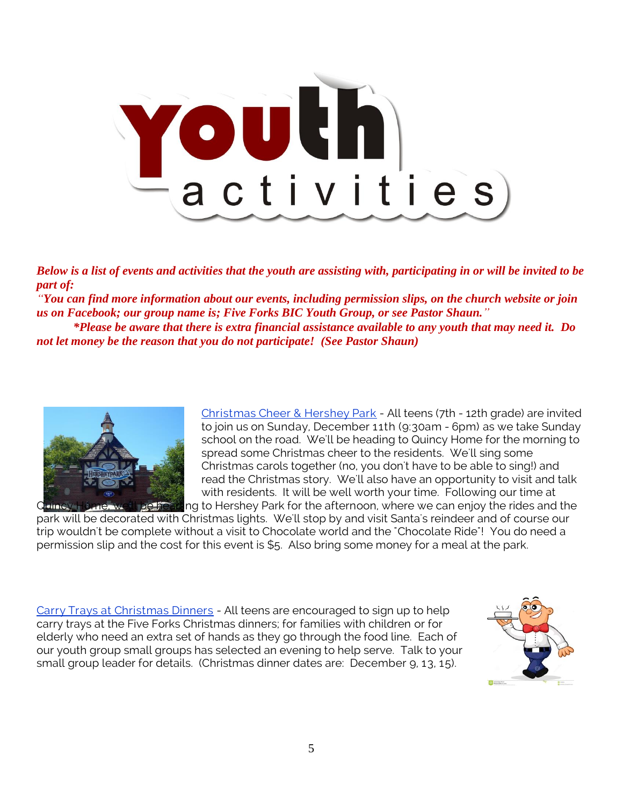

*Below is a list of events and activities that the youth are assisting with, participating in or will be invited to be part of:*

*"You can find more information about our events, including permission slips, on the church website or join us on Facebook; our group name is; Five Forks BIC Youth Group, or see Pastor Shaun."*

*\*Please be aware that there is extra financial assistance available to any youth that may need it. Do not let money be the reason that you do not participate! (See Pastor Shaun)*



Christmas Cheer & Hershey Park - All teens (7th - 12th grade) are invited to join us on Sunday, December 11th (9:30am - 6pm) as we take Sunday school on the road. We'll be heading to Quincy Home for the morning to spread some Christmas cheer to the residents. We'll sing some Christmas carols together (no, you don't have to be able to sing!) and read the Christmas story. We'll also have an opportunity to visit and talk with residents. It will be well worth your time. Following our time at De heading to Hershey Park for the afternoon, where we can enjoy the rides and the

park will be decorated with Christmas lights. We'll stop by and visit Santa's reindeer and of course our trip wouldn't be complete without a visit to Chocolate world and the "Chocolate Ride"! You do need a permission slip and the cost for this event is \$5. Also bring some money for a meal at the park.

Carry Trays at Christmas Dinners - All teens are encouraged to sign up to help carry trays at the Five Forks Christmas dinners; for families with children or for elderly who need an extra set of hands as they go through the food line. Each of our youth group small groups has selected an evening to help serve. Talk to your small group leader for details. (Christmas dinner dates are: December 9, 13, 15).